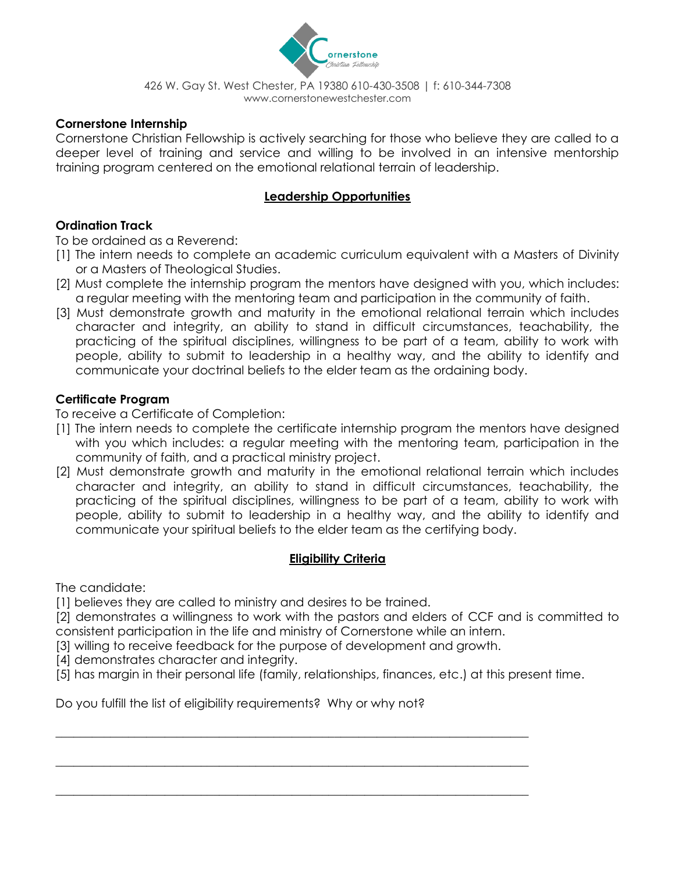

### **Cornerstone Internship**

Cornerstone Christian Fellowship is actively searching for those who believe they are called to a deeper level of training and service and willing to be involved in an intensive mentorship training program centered on the emotional relational terrain of leadership.

### **Leadership Opportunities**

### **Ordination Track**

To be ordained as a Reverend:

- [1] The intern needs to complete an academic curriculum equivalent with a Masters of Divinity or a Masters of Theological Studies.
- [2] Must complete the internship program the mentors have designed with you, which includes: a regular meeting with the mentoring team and participation in the community of faith.
- [3] Must demonstrate growth and maturity in the emotional relational terrain which includes character and integrity, an ability to stand in difficult circumstances, teachability, the practicing of the spiritual disciplines, willingness to be part of a team, ability to work with people, ability to submit to leadership in a healthy way, and the ability to identify and communicate your doctrinal beliefs to the elder team as the ordaining body.

### **Certificate Program**

To receive a Certificate of Completion:

- [1] The intern needs to complete the certificate internship program the mentors have designed with you which includes: a regular meeting with the mentoring team, participation in the community of faith, and a practical ministry project.
- [2] Must demonstrate growth and maturity in the emotional relational terrain which includes character and integrity, an ability to stand in difficult circumstances, teachability, the practicing of the spiritual disciplines, willingness to be part of a team, ability to work with people, ability to submit to leadership in a healthy way, and the ability to identify and communicate your spiritual beliefs to the elder team as the certifying body.

#### **Eligibility Criteria**

The candidate:

[1] believes they are called to ministry and desires to be trained.

[2] demonstrates a willingness to work with the pastors and elders of CCF and is committed to consistent participation in the life and ministry of Cornerstone while an intern.

[3] willing to receive feedback for the purpose of development and growth.

\_\_\_\_\_\_\_\_\_\_\_\_\_\_\_\_\_\_\_\_\_\_\_\_\_\_\_\_\_\_\_\_\_\_\_\_\_\_\_\_\_\_\_\_\_\_\_\_\_\_\_\_\_\_\_\_\_\_\_\_\_\_\_\_\_\_\_\_\_\_\_\_\_\_\_\_\_\_

\_\_\_\_\_\_\_\_\_\_\_\_\_\_\_\_\_\_\_\_\_\_\_\_\_\_\_\_\_\_\_\_\_\_\_\_\_\_\_\_\_\_\_\_\_\_\_\_\_\_\_\_\_\_\_\_\_\_\_\_\_\_\_\_\_\_\_\_\_\_\_\_\_\_\_\_\_\_

\_\_\_\_\_\_\_\_\_\_\_\_\_\_\_\_\_\_\_\_\_\_\_\_\_\_\_\_\_\_\_\_\_\_\_\_\_\_\_\_\_\_\_\_\_\_\_\_\_\_\_\_\_\_\_\_\_\_\_\_\_\_\_\_\_\_\_\_\_\_\_\_\_\_\_\_\_\_

[4] demonstrates character and integrity.

[5] has margin in their personal life (family, relationships, finances, etc.) at this present time.

Do you fulfill the list of eligibility requirements? Why or why not?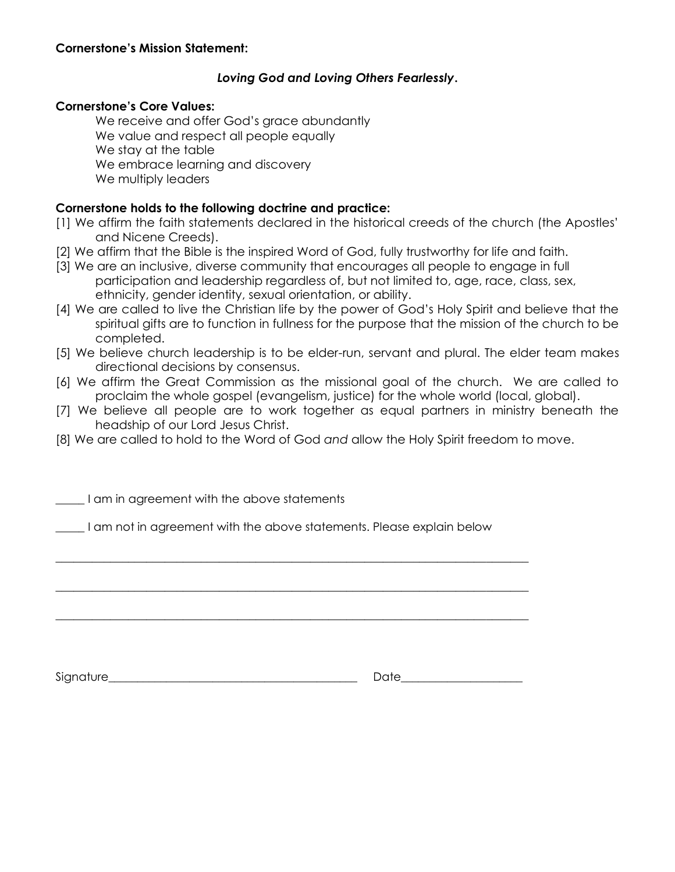#### **Cornerstone's Mission Statement:**

#### *Loving God and Loving Others Fearlessly***.**

#### **Cornerstone's Core Values:**

We receive and offer God's grace abundantly We value and respect all people equally We stay at the table We embrace learning and discovery We multiply leaders

#### **Cornerstone holds to the following doctrine and practice:**

- [1] We affirm the faith statements declared in the historical creeds of the church (the Apostles' and Nicene Creeds).
- [2] We affirm that the Bible is the inspired Word of God, fully trustworthy for life and faith.
- [3] We are an inclusive, diverse community that encourages all people to engage in full participation and leadership regardless of, but not limited to, age, race, class, sex, ethnicity, gender identity, sexual orientation, or ability.
- [4] We are called to live the Christian life by the power of God's Holy Spirit and believe that the spiritual gifts are to function in fullness for the purpose that the mission of the church to be completed.
- [5] We believe church leadership is to be elder-run, servant and plural. The elder team makes directional decisions by consensus.
- [6] We affirm the Great Commission as the missional goal of the church. We are called to proclaim the whole gospel (evangelism, justice) for the whole world (local, global).
- [7] We believe all people are to work together as equal partners in ministry beneath the headship of our Lord Jesus Christ.
- [8] We are called to hold to the Word of God *and* allow the Holy Spirit freedom to move.

\_\_\_\_\_ I am in agreement with the above statements

\_\_\_\_\_ I am not in agreement with the above statements. Please explain below

\_\_\_\_\_\_\_\_\_\_\_\_\_\_\_\_\_\_\_\_\_\_\_\_\_\_\_\_\_\_\_\_\_\_\_\_\_\_\_\_\_\_\_\_\_\_\_\_\_\_\_\_\_\_\_\_\_\_\_\_\_\_\_\_\_\_\_\_\_\_\_\_\_\_\_\_\_\_

\_\_\_\_\_\_\_\_\_\_\_\_\_\_\_\_\_\_\_\_\_\_\_\_\_\_\_\_\_\_\_\_\_\_\_\_\_\_\_\_\_\_\_\_\_\_\_\_\_\_\_\_\_\_\_\_\_\_\_\_\_\_\_\_\_\_\_\_\_\_\_\_\_\_\_\_\_\_

\_\_\_\_\_\_\_\_\_\_\_\_\_\_\_\_\_\_\_\_\_\_\_\_\_\_\_\_\_\_\_\_\_\_\_\_\_\_\_\_\_\_\_\_\_\_\_\_\_\_\_\_\_\_\_\_\_\_\_\_\_\_\_\_\_\_\_\_\_\_\_\_\_\_\_\_\_\_

Signature\_\_\_\_\_\_\_\_\_\_\_\_\_\_\_\_\_\_\_\_\_\_\_\_\_\_\_\_\_\_\_\_\_\_\_\_\_\_\_\_\_\_\_ Date\_\_\_\_\_\_\_\_\_\_\_\_\_\_\_\_\_\_\_\_\_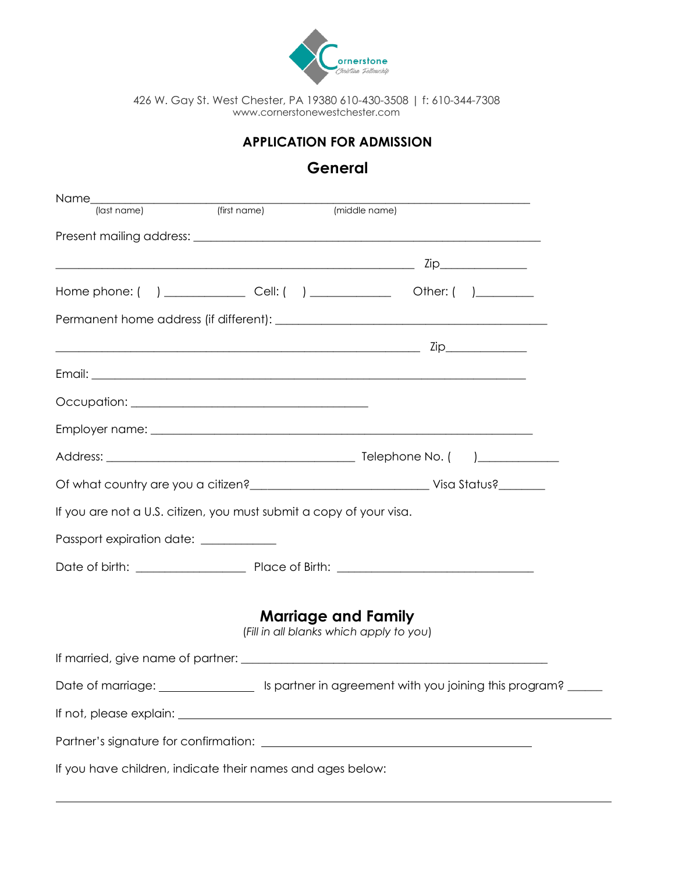

### **APPLICATION FOR ADMISSION**

# **General**

| Name__                                                                                                                                                                                                                               |                                         |                            |  |
|--------------------------------------------------------------------------------------------------------------------------------------------------------------------------------------------------------------------------------------|-----------------------------------------|----------------------------|--|
| (last name)                                                                                                                                                                                                                          |                                         |                            |  |
|                                                                                                                                                                                                                                      |                                         |                            |  |
| <u>under the contract of the contract of the contract of the contract of the contract of the contract of the contract of the contract of the contract of the contract of the contract of the contract of the contract of the con</u> |                                         |                            |  |
| Home phone: ( ) ________________________ Cell: ( ) _____________________________ Other: ( ) _____________                                                                                                                            |                                         |                            |  |
|                                                                                                                                                                                                                                      |                                         |                            |  |
|                                                                                                                                                                                                                                      |                                         |                            |  |
|                                                                                                                                                                                                                                      |                                         |                            |  |
|                                                                                                                                                                                                                                      |                                         |                            |  |
|                                                                                                                                                                                                                                      |                                         |                            |  |
|                                                                                                                                                                                                                                      |                                         |                            |  |
|                                                                                                                                                                                                                                      |                                         |                            |  |
| If you are not a U.S. citizen, you must submit a copy of your visa.                                                                                                                                                                  |                                         |                            |  |
| Passport expiration date: ___________                                                                                                                                                                                                |                                         |                            |  |
|                                                                                                                                                                                                                                      |                                         |                            |  |
|                                                                                                                                                                                                                                      | (Fill in all blanks which apply to you) | <b>Marriage and Family</b> |  |
|                                                                                                                                                                                                                                      |                                         |                            |  |
|                                                                                                                                                                                                                                      |                                         |                            |  |
|                                                                                                                                                                                                                                      |                                         |                            |  |
|                                                                                                                                                                                                                                      |                                         |                            |  |
| If you have children, indicate their names and ages below:                                                                                                                                                                           |                                         |                            |  |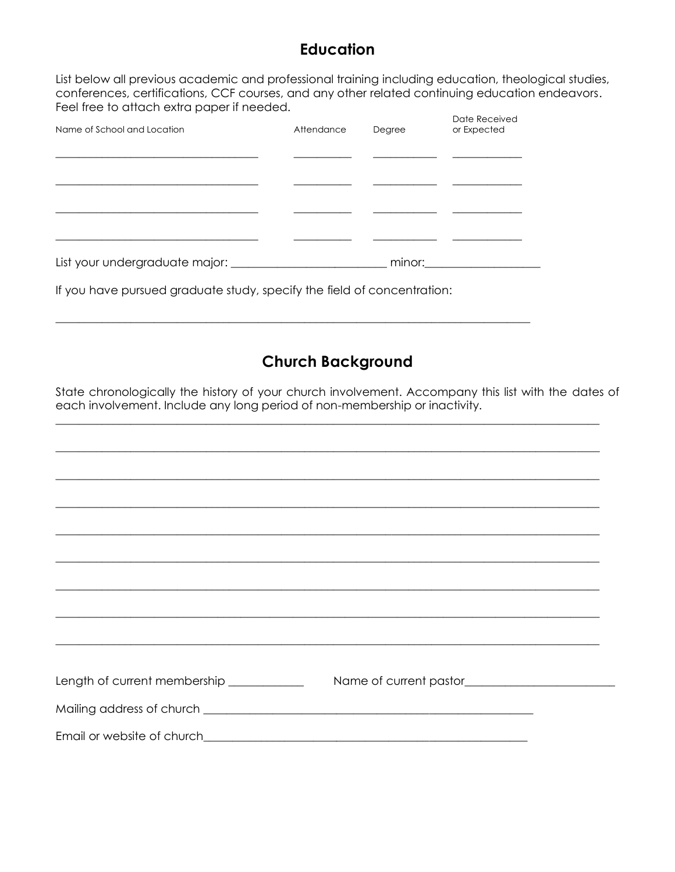### **Education**

List below all previous academic and professional training including education, theological studies, conferences, certifications, CCF courses, and any other related continuing education endeavors. Feel free to attach extra paper if needed.  $\mathbb{R}$ 

| Name of School and Location        | Attendance | Degree | Date Received<br>or Expected |
|------------------------------------|------------|--------|------------------------------|
|                                    |            |        |                              |
|                                    |            |        |                              |
|                                    |            |        |                              |
|                                    |            |        |                              |
| List your undergraduate major: ___ |            | minor: |                              |

 $\_$  , and the set of the set of the set of the set of the set of the set of the set of the set of the set of the set of the set of the set of the set of the set of the set of the set of the set of the set of the set of th

If you have pursued graduate study, specify the field of concentration:

# **Church Background**

State chronologically the history of your church involvement. Accompany this list with the dates of each involvement. Include any long period of non-membership or inactivity.

| ,我们也不能在这里的时候,我们也不能在这里的时候,我们也不能会在这里的时候,我们也不能会在这里的时候,我们也不能会在这里的时候,我们也不能会在这里的时候,我们也不 |  |
|-----------------------------------------------------------------------------------|--|
| ,我们也不会有什么。""我们的人,我们也不会有什么?""我们的人,我们也不会有什么?""我们的人,我们也不会有什么?""我们的人,我们也不会有什么?""我们的人  |  |
|                                                                                   |  |
|                                                                                   |  |
|                                                                                   |  |
|                                                                                   |  |
|                                                                                   |  |
|                                                                                   |  |
|                                                                                   |  |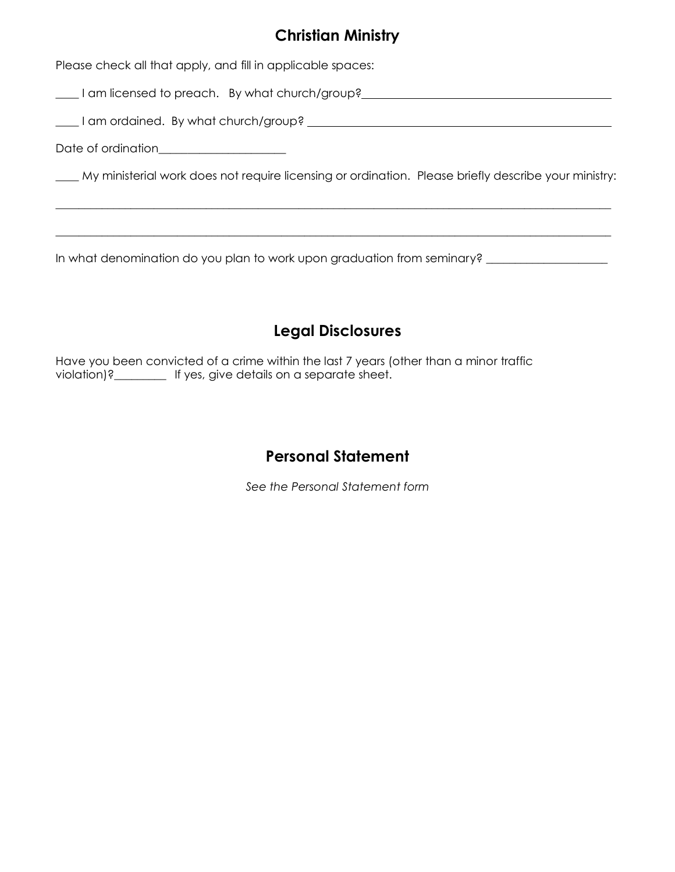## **Christian Ministry**

Please check all that apply, and fill in applicable spaces:

\_\_\_\_ I am licensed to preach. By what church/group?

\_\_\_\_ I am ordained. By what church/group?

Date of ordination\_\_\_\_\_\_\_\_\_\_\_\_\_\_\_\_\_\_\_\_\_\_

\_\_\_\_ My ministerial work does not require licensing or ordination. Please briefly describe your ministry:

 $\_$  , and the set of the set of the set of the set of the set of the set of the set of the set of the set of the set of the set of the set of the set of the set of the set of the set of the set of the set of the set of th

 $\_$  , and the set of the set of the set of the set of the set of the set of the set of the set of the set of the set of the set of the set of the set of the set of the set of the set of the set of the set of the set of th

In what denomination do you plan to work upon graduation from seminary? \_\_\_\_\_\_\_\_\_\_\_\_\_\_\_\_\_\_\_\_\_

# **Legal Disclosures**

Have you been convicted of a crime within the last 7 years (other than a minor traffic violation)?\_\_\_\_\_\_\_\_\_ If yes, give details on a separate sheet.

## **Personal Statement**

*See the Personal Statement form*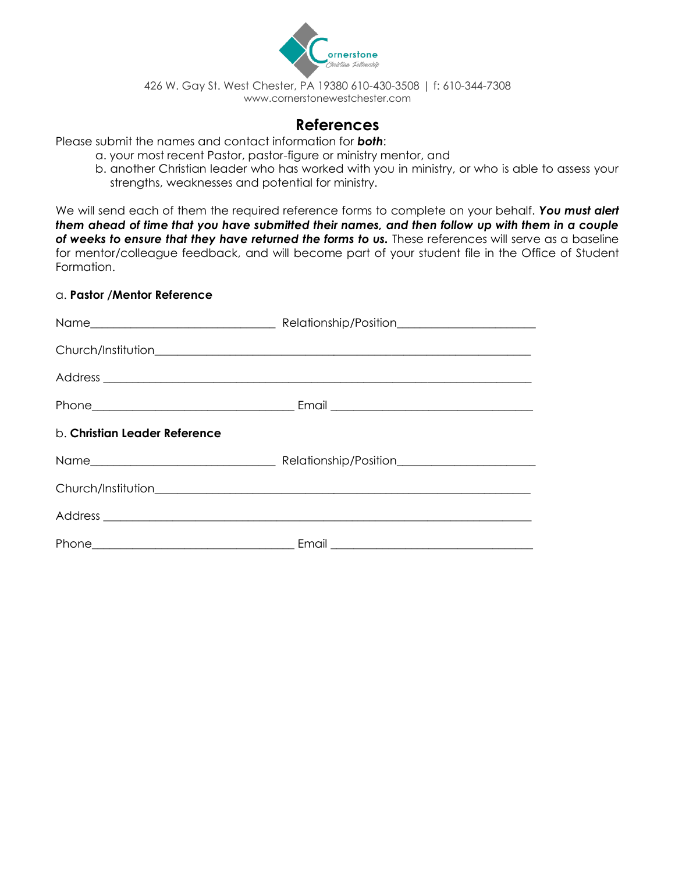

### **References**

Please submit the names and contact information for *both*:

- a. your most recent Pastor, pastor-figure or ministry mentor, and
- b. another Christian leader who has worked with you in ministry, or who is able to assess your strengths, weaknesses and potential for ministry.

We will send each of them the required reference forms to complete on your behalf. *You must alert them ahead of time that you have submitted their names, and then follow up with them in a couple of weeks to ensure that they have returned the forms to us.* These references will serve as a baseline for mentor/colleague feedback, and will become part of your student file in the Office of Student Formation.

#### a. **Pastor /Mentor Reference**

| b. Christian Leader Reference |  |
|-------------------------------|--|
|                               |  |
|                               |  |
|                               |  |
|                               |  |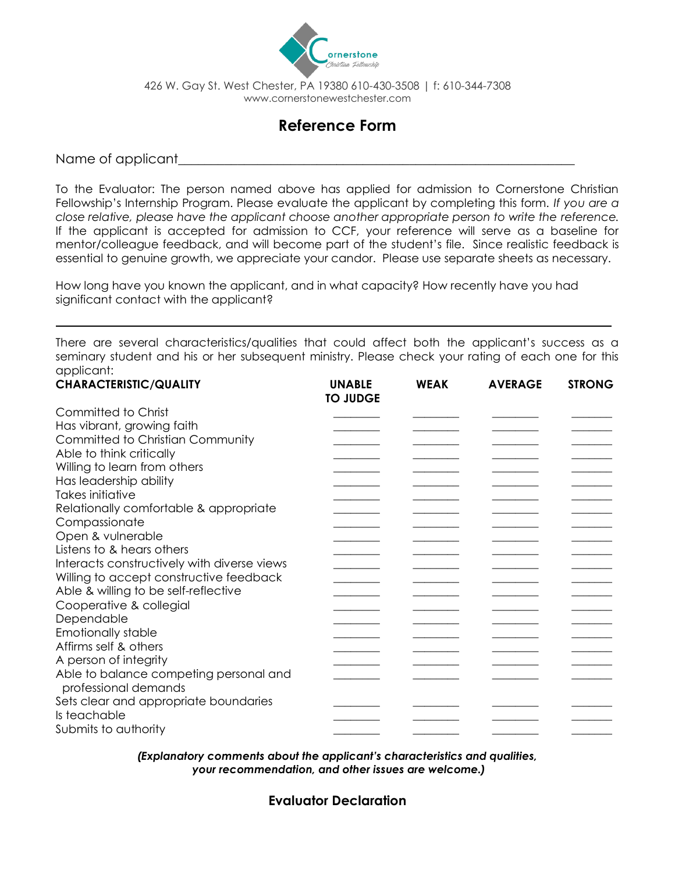

## **Reference Form**

Name of applicant

To the Evaluator: The person named above has applied for admission to Cornerstone Christian Fellowship's Internship Program. Please evaluate the applicant by completing this form. *If you are a close relative, please have the applicant choose another appropriate person to write the reference.* If the applicant is accepted for admission to CCF, your reference will serve as a baseline for mentor/colleague feedback, and will become part of the student's file. Since realistic feedback is essential to genuine growth, we appreciate your candor. Please use separate sheets as necessary.

How long have you known the applicant, and in what capacity? How recently have you had significant contact with the applicant?

There are several characteristics/qualities that could affect both the applicant's success as a seminary student and his or her subsequent ministry. Please check your rating of each one for this applicant:

| <b>CHARACTERISTIC/QUALITY</b>                                  | <b>UNABLE</b><br><b>TO JUDGE</b> | <b>WEAK</b> | <b>AVERAGE</b> | <b>STRONG</b> |
|----------------------------------------------------------------|----------------------------------|-------------|----------------|---------------|
| Committed to Christ                                            |                                  |             |                |               |
| Has vibrant, growing faith                                     |                                  |             |                |               |
| Committed to Christian Community                               |                                  |             |                |               |
| Able to think critically                                       |                                  |             |                |               |
| Willing to learn from others                                   |                                  |             |                |               |
| Has leadership ability                                         |                                  |             |                |               |
| Takes initiative                                               |                                  |             |                |               |
| Relationally comfortable & appropriate                         |                                  |             |                |               |
| Compassionate                                                  |                                  |             |                |               |
| Open & vulnerable                                              |                                  |             |                |               |
| Listens to & hears others                                      |                                  |             |                |               |
| Interacts constructively with diverse views                    |                                  |             |                |               |
| Willing to accept constructive feedback                        |                                  |             |                |               |
| Able & willing to be self-reflective                           |                                  |             |                |               |
| Cooperative & collegial                                        |                                  |             |                |               |
| Dependable                                                     |                                  |             |                |               |
| <b>Emotionally stable</b>                                      |                                  |             |                |               |
| Affirms self & others                                          |                                  |             |                |               |
| A person of integrity                                          |                                  |             |                |               |
| Able to balance competing personal and<br>professional demands |                                  |             |                |               |
| Sets clear and appropriate boundaries                          |                                  |             |                |               |
| Is teachable                                                   |                                  |             |                |               |
| Submits to authority                                           |                                  |             |                |               |

*(Explanatory comments about the applicant's characteristics and qualities, your recommendation, and other issues are welcome.)*

**Evaluator Declaration**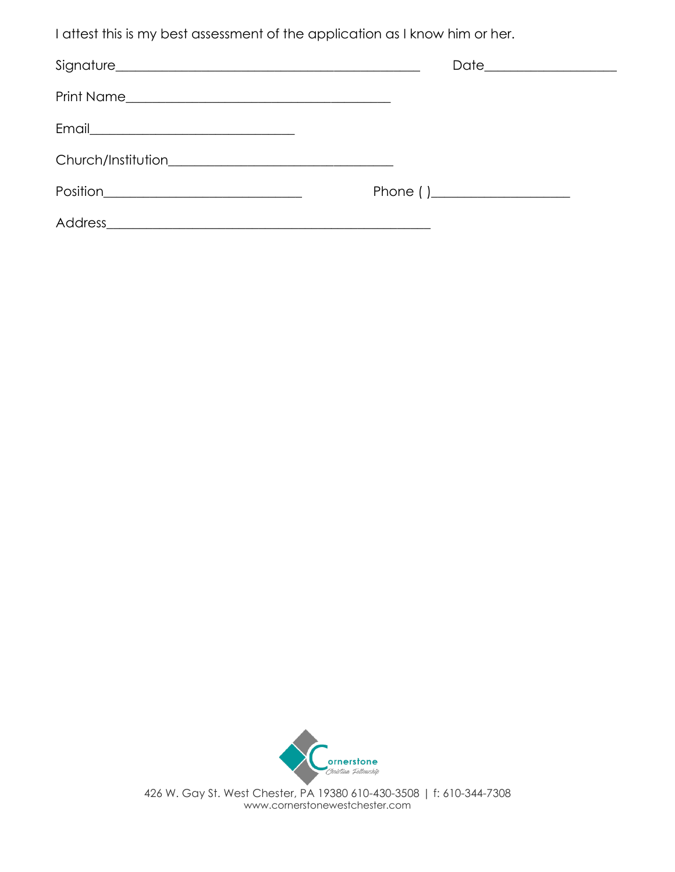I attest this is my best assessment of the application as I know him or her.

| Position_______________________________ | Phone $( )$ |  |
|-----------------------------------------|-------------|--|
| <b>Address</b>                          |             |  |



426 W. Gay St. West Chester, PA 19380 610-430-3508 | f: 610-344-7308 www.cornerstonewestchester.com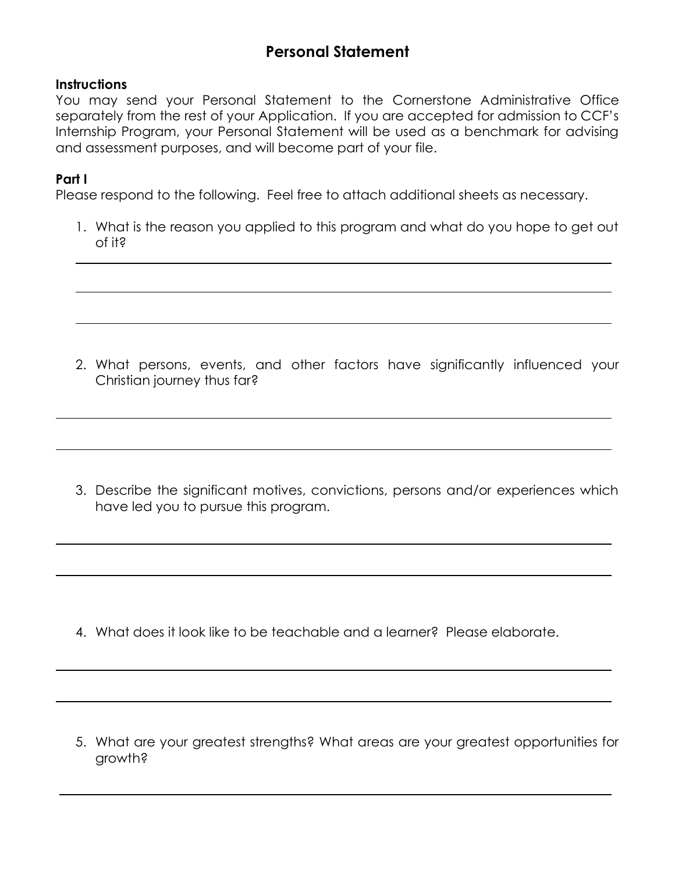# **Personal Statement**

### **Instructions**

You may send your Personal Statement to the Cornerstone Administrative Office separately from the rest of your Application. If you are accepted for admission to CCF's Internship Program, your Personal Statement will be used as a benchmark for advising and assessment purposes, and will become part of your file.

### **Part I**

Please respond to the following. Feel free to attach additional sheets as necessary.

1. What is the reason you applied to this program and what do you hope to get out of it?

2. What persons, events, and other factors have significantly influenced your Christian journey thus far?

3. Describe the significant motives, convictions, persons and/or experiences which have led you to pursue this program.

4. What does it look like to be teachable and a learner? Please elaborate.

5. What are your greatest strengths? What areas are your greatest opportunities for growth?